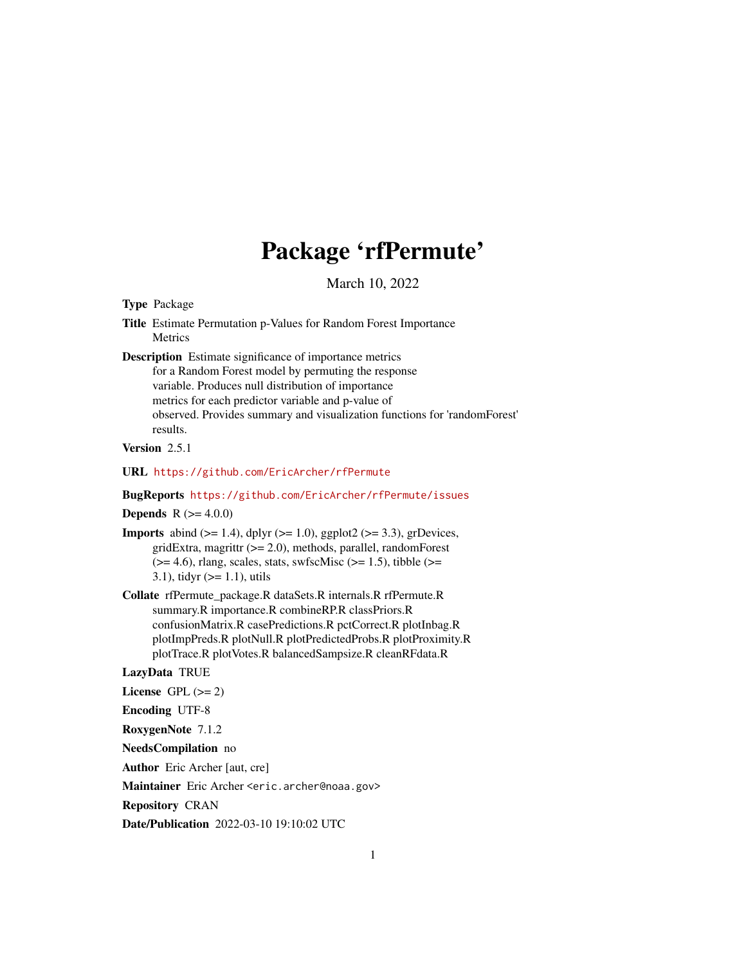# Package 'rfPermute'

March 10, 2022

<span id="page-0-0"></span>Type Package

Title Estimate Permutation p-Values for Random Forest Importance **Metrics** 

Description Estimate significance of importance metrics for a Random Forest model by permuting the response variable. Produces null distribution of importance metrics for each predictor variable and p-value of observed. Provides summary and visualization functions for 'randomForest' results.

Version 2.5.1

URL <https://github.com/EricArcher/rfPermute>

BugReports <https://github.com/EricArcher/rfPermute/issues>

**Depends** R  $(>= 4.0.0)$ 

- **Imports** abind  $(>= 1.4)$ , dplyr  $(>= 1.0)$ , ggplot2  $(>= 3.3)$ , grDevices, gridExtra, magrittr (>= 2.0), methods, parallel, randomForest  $(>= 4.6)$ , rlang, scales, stats, swfscMisc  $(>= 1.5)$ , tibble  $(>= 1.5)$ 3.1), tidyr  $(>= 1.1)$ , utils
- Collate rfPermute\_package.R dataSets.R internals.R rfPermute.R summary.R importance.R combineRP.R classPriors.R confusionMatrix.R casePredictions.R pctCorrect.R plotInbag.R plotImpPreds.R plotNull.R plotPredictedProbs.R plotProximity.R plotTrace.R plotVotes.R balancedSampsize.R cleanRFdata.R

LazyData TRUE

License GPL  $(>= 2)$ 

Encoding UTF-8

RoxygenNote 7.1.2

NeedsCompilation no

Author Eric Archer [aut, cre]

Maintainer Eric Archer <eric.archer@noaa.gov>

Repository CRAN

Date/Publication 2022-03-10 19:10:02 UTC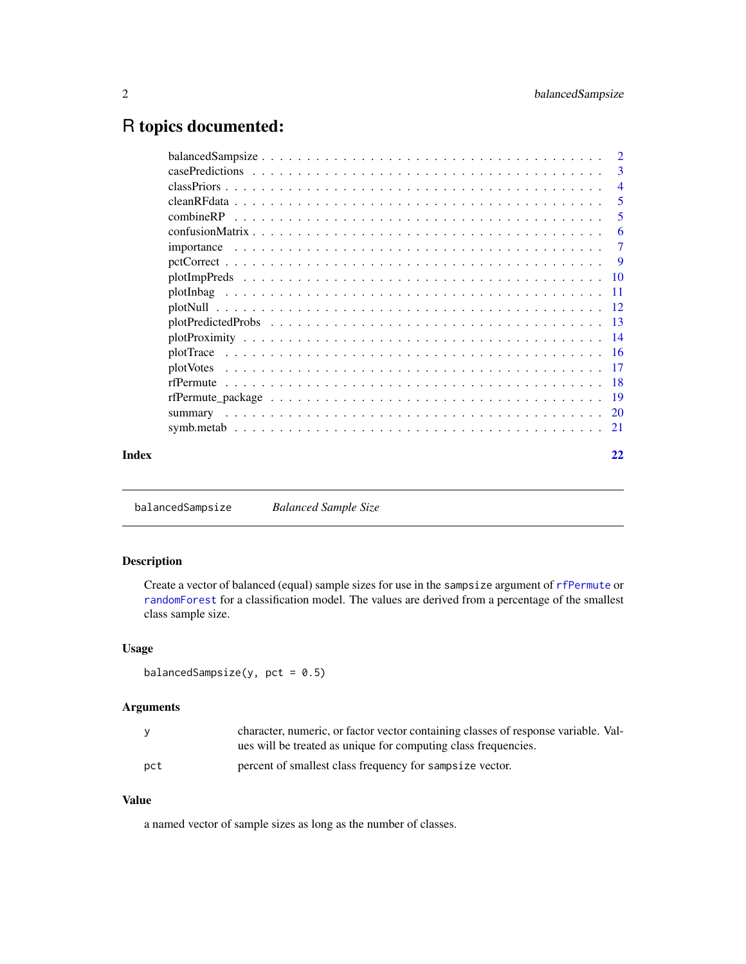## <span id="page-1-0"></span>R topics documented:

|       | -3             |
|-------|----------------|
|       | $\overline{4}$ |
|       | -5             |
|       | 5              |
|       | -6             |
|       | -7             |
|       | - 9            |
|       |                |
|       |                |
|       |                |
|       |                |
|       |                |
|       |                |
|       |                |
|       |                |
|       |                |
|       |                |
|       |                |
| Index | 22             |

<span id="page-1-1"></span>balancedSampsize *Balanced Sample Size*

#### Description

Create a vector of balanced (equal) sample sizes for use in the sampsize argument of [rfPermute](#page-17-1) or [randomForest](#page-0-0) for a classification model. The values are derived from a percentage of the smallest class sample size.

#### Usage

balancedSampsize(y,  $pct = 0.5$ )

#### Arguments

| <b>V</b> | character, numeric, or factor vector containing classes of response variable. Val- |
|----------|------------------------------------------------------------------------------------|
|          | ues will be treated as unique for computing class frequencies.                     |
| pct      | percent of smallest class frequency for sampsize vector.                           |

#### Value

a named vector of sample sizes as long as the number of classes.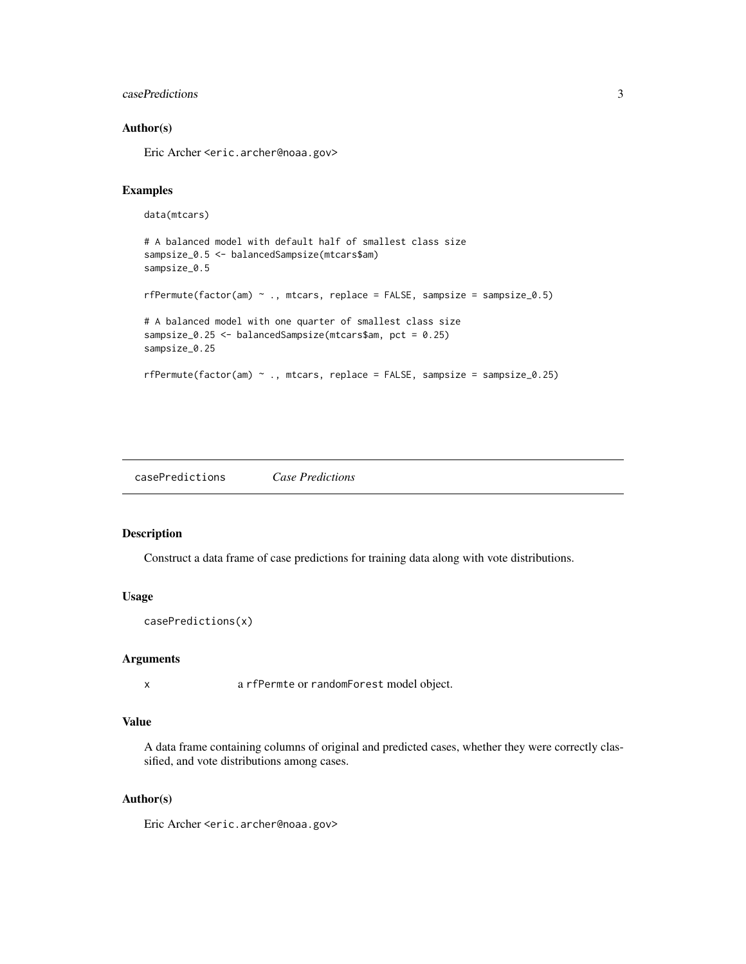#### <span id="page-2-0"></span>casePredictions 3

#### Author(s)

Eric Archer <eric.archer@noaa.gov>

#### Examples

```
data(mtcars)
# A balanced model with default half of smallest class size
sampsize_0.5 <- balancedSampsize(mtcars$am)
sampsize_0.5
rfPermute(factor(am) ~ ., mtcars, replace = FALSE, sampsize = sampsize_0.5)
# A balanced model with one quarter of smallest class size
sampsize_0.25 <- balancedSampsize(mtcars$am, pct = 0.25)
sampsize_0.25
rfPermute(factor(am) ~ ., mtcars, replace = FALSE, sampsize = sampsize_0.25)
```
casePredictions *Case Predictions*

#### Description

Construct a data frame of case predictions for training data along with vote distributions.

#### Usage

```
casePredictions(x)
```
#### **Arguments**

x a rfPermte or randomForest model object.

#### Value

A data frame containing columns of original and predicted cases, whether they were correctly classified, and vote distributions among cases.

#### Author(s)

Eric Archer <eric.archer@noaa.gov>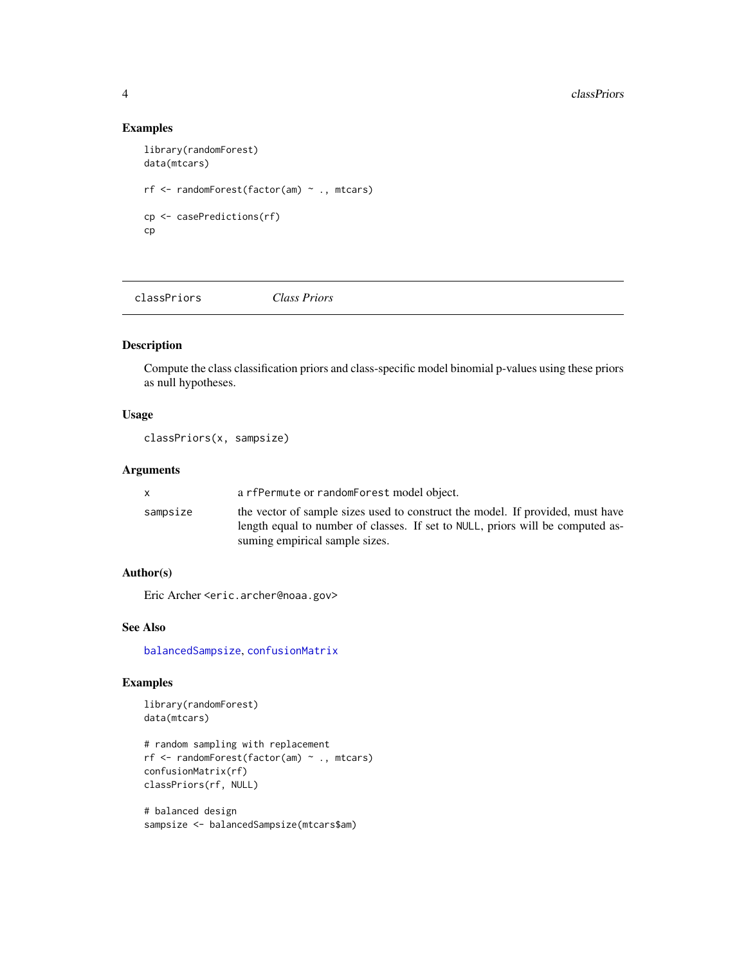#### Examples

```
library(randomForest)
data(mtcars)
rf <- randomForest(factor(am) ~ ., mtcars)
cp <- casePredictions(rf)
cp
```
<span id="page-3-1"></span>classPriors *Class Priors*

#### Description

Compute the class classification priors and class-specific model binomial p-values using these priors as null hypotheses.

#### Usage

```
classPriors(x, sampsize)
```
#### Arguments

|          | a rfPermute or randomForest model object.                                                                                                                                                          |
|----------|----------------------------------------------------------------------------------------------------------------------------------------------------------------------------------------------------|
| sampsize | the vector of sample sizes used to construct the model. If provided, must have<br>length equal to number of classes. If set to NULL, priors will be computed as-<br>suming empirical sample sizes. |

#### Author(s)

Eric Archer <eric.archer@noaa.gov>

#### See Also

[balancedSampsize](#page-1-1), [confusionMatrix](#page-5-1)

```
library(randomForest)
data(mtcars)
```

```
# random sampling with replacement
rf <- randomForest(factor(am) ~ ., mtcars)
confusionMatrix(rf)
classPriors(rf, NULL)
```

```
# balanced design
sampsize <- balancedSampsize(mtcars$am)
```
<span id="page-3-0"></span>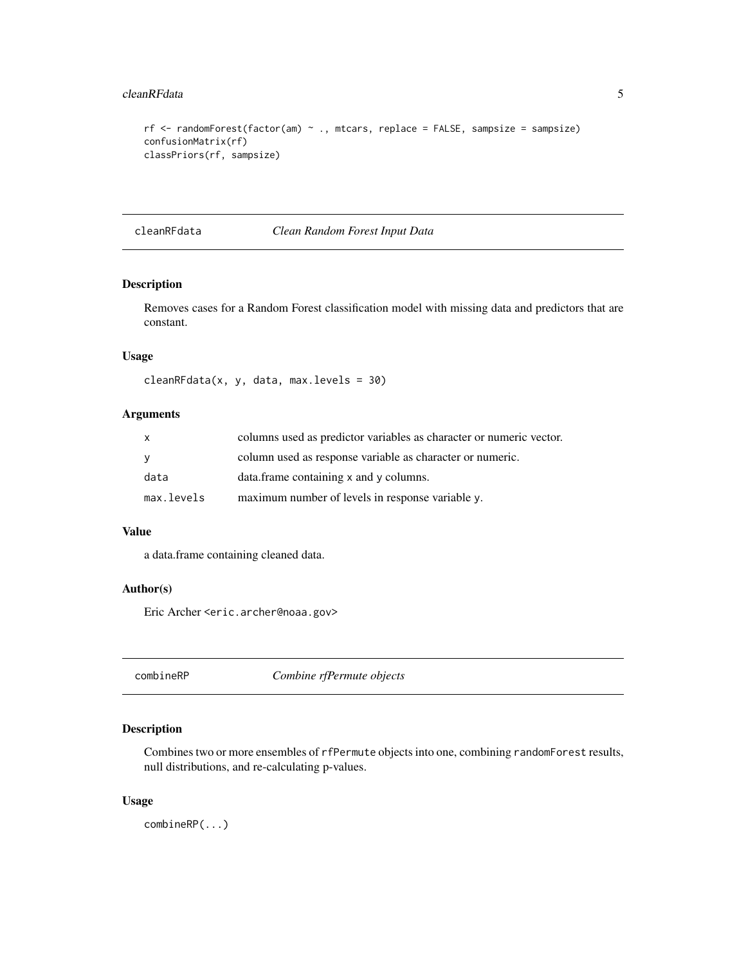#### <span id="page-4-0"></span>cleanRFdata 5

```
rf <- randomForest(factor(am) \sim ., mtcars, replace = FALSE, sampsize = sampsize)
confusionMatrix(rf)
classPriors(rf, sampsize)
```
cleanRFdata *Clean Random Forest Input Data*

#### Description

Removes cases for a Random Forest classification model with missing data and predictors that are constant.

#### Usage

```
cleanRFdata(x, y, data, max.levels = 30)
```
#### Arguments

| X.         | columns used as predictor variables as character or numeric vector. |
|------------|---------------------------------------------------------------------|
| - V        | column used as response variable as character or numeric.           |
| data       | data.frame containing x and y columns.                              |
| max.levels | maximum number of levels in response variable y.                    |

#### Value

a data.frame containing cleaned data.

#### Author(s)

Eric Archer <eric.archer@noaa.gov>

combineRP *Combine rfPermute objects*

#### Description

Combines two or more ensembles of rfPermute objects into one, combining randomForest results, null distributions, and re-calculating p-values.

#### Usage

combineRP(...)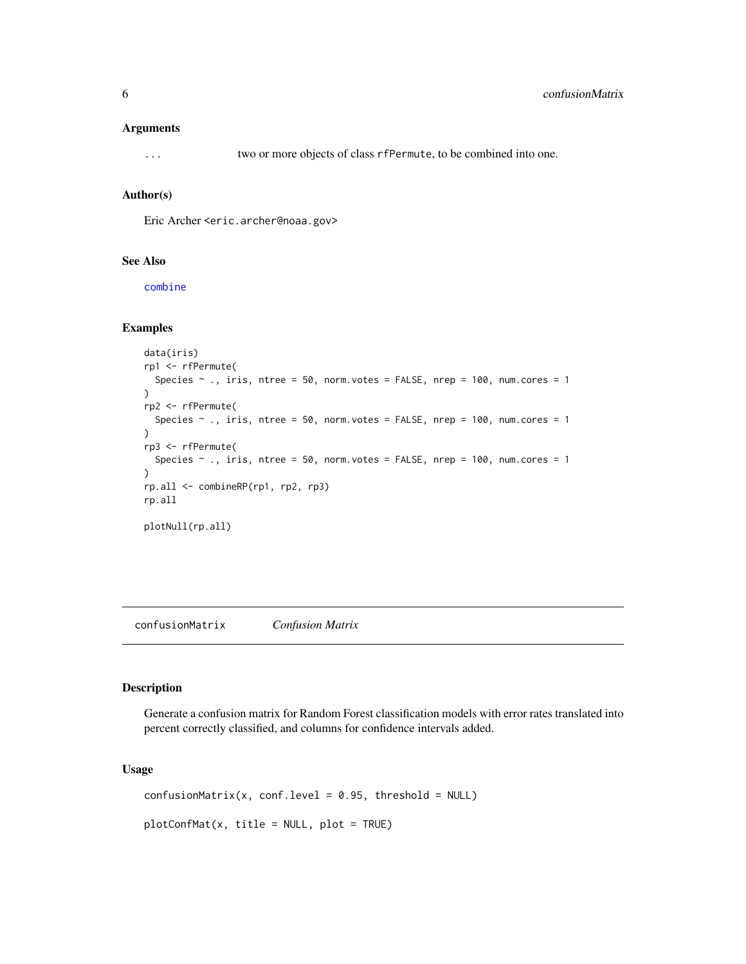#### <span id="page-5-0"></span>Arguments

... two or more objects of class rfPermute, to be combined into one.

#### Author(s)

Eric Archer <eric.archer@noaa.gov>

#### See Also

[combine](#page-0-0)

#### Examples

```
data(iris)
rp1 <- rfPermute(
  Species \sim ., iris, ntree = 50, norm. votes = FALSE, nrep = 100, num. cores = 1
)
rp2 <- rfPermute(
  Species \sim ., iris, ntree = 50, norm.votes = FALSE, nrep = 100, num.cores = 1
)
rp3 <- rfPermute(
  Species \sim ., iris, ntree = 50, norm.votes = FALSE, nrep = 100, num.cores = 1
\lambdarp.all <- combineRP(rp1, rp2, rp3)
rp.all
plotNull(rp.all)
```
<span id="page-5-1"></span>confusionMatrix *Confusion Matrix*

#### Description

Generate a confusion matrix for Random Forest classification models with error rates translated into percent correctly classified, and columns for confidence intervals added.

```
confusionMatrix(x, conf.level = 0.95, threshold = NULL)plotConfMat(x, title = NULL, plot = TRUE)
```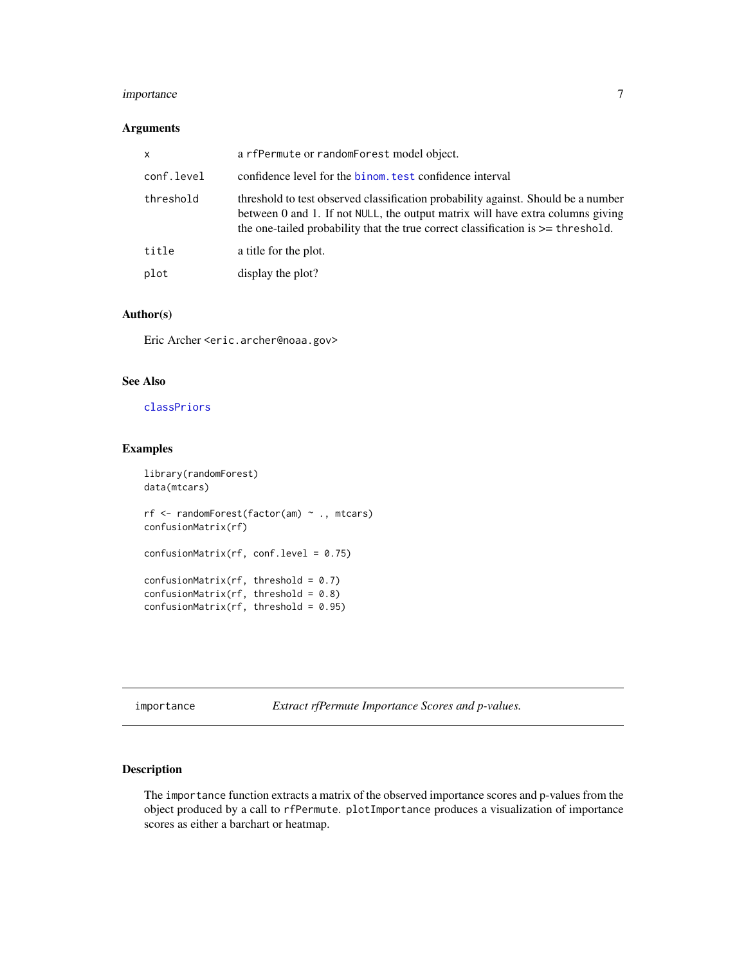#### <span id="page-6-0"></span>importance 7

#### Arguments

| x          | a rfPermute or randomForest model object.                                                                                                                                                                                                                   |
|------------|-------------------------------------------------------------------------------------------------------------------------------------------------------------------------------------------------------------------------------------------------------------|
| conf.level | confidence level for the binom, test confidence interval                                                                                                                                                                                                    |
| threshold  | threshold to test observed classification probability against. Should be a number<br>between 0 and 1. If not NULL, the output matrix will have extra columns giving<br>the one-tailed probability that the true correct classification is $\geq$ threshold. |
| title      | a title for the plot.                                                                                                                                                                                                                                       |
| plot       | display the plot?                                                                                                                                                                                                                                           |

#### Author(s)

Eric Archer <eric.archer@noaa.gov>

#### See Also

#### [classPriors](#page-3-1)

#### Examples

```
library(randomForest)
data(mtcars)
rf <- randomForest(factor(am) ~ ., mtcars)
confusionMatrix(rf)
confusionMatrix(rf, conf.level = 0.75)confusionMatrix(rf, threshold = 0.7)
confusionMatrix(rf, threshold = 0.8)
confusionMatrix(rf, threshold = 0.95)
```
importance *Extract rfPermute Importance Scores and p-values.*

#### Description

The importance function extracts a matrix of the observed importance scores and p-values from the object produced by a call to rfPermute. plotImportance produces a visualization of importance scores as either a barchart or heatmap.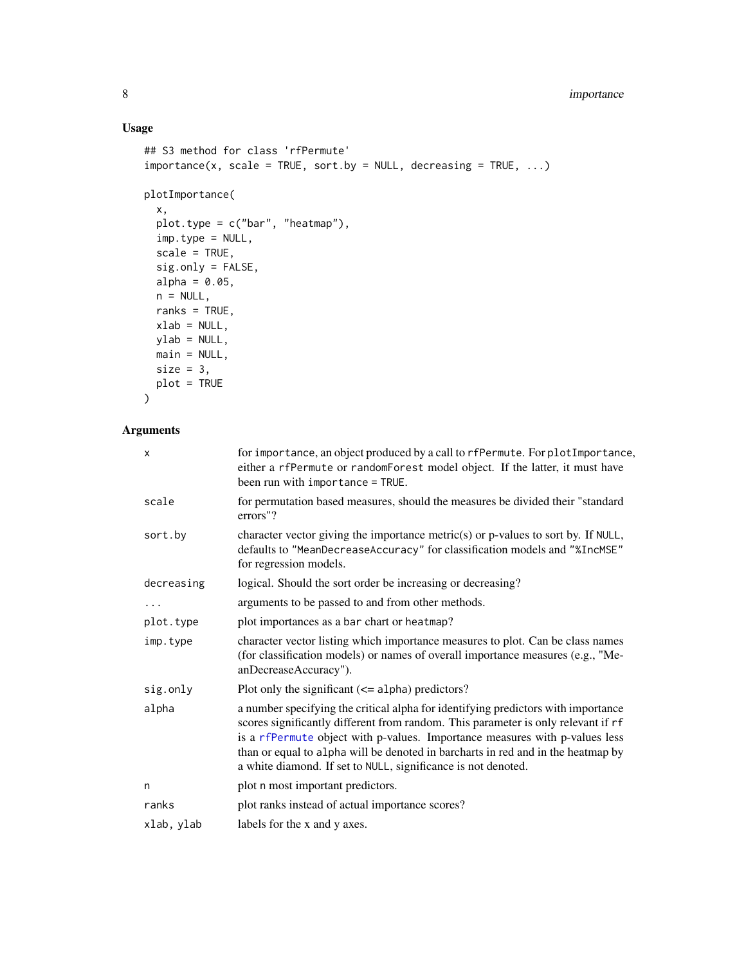### <span id="page-7-0"></span>8 importance

### Usage

```
## S3 method for class 'rfPermute'
importance(x, scale = TRUE, sort.py = NULL, decreasing = TRUE, ...)plotImportance(
 x,
 plot.type = c("bar", "heatmap"),
 imp.type = NULL,
 scale = TRUE,
 sig.only = FALSE,
 alpha = 0.05,
 n = NULL,ranks = TRUE,
 xlab = NULL,ylab = NULL,
 main = NULL,
 size = 3,
 plot = TRUE
)
```
#### Arguments

| x          | for importance, an object produced by a call to rfPermute. For plotImportance,<br>either a rfPermute or randomForest model object. If the latter, it must have<br>been run with importance = TRUE.                                                                                                                                                                                                         |
|------------|------------------------------------------------------------------------------------------------------------------------------------------------------------------------------------------------------------------------------------------------------------------------------------------------------------------------------------------------------------------------------------------------------------|
| scale      | for permutation based measures, should the measures be divided their "standard"<br>errors"?                                                                                                                                                                                                                                                                                                                |
| sort.by    | character vector giving the importance metric(s) or p-values to sort by. If NULL,<br>defaults to "MeanDecreaseAccuracy" for classification models and "%IncMSE"<br>for regression models.                                                                                                                                                                                                                  |
| decreasing | logical. Should the sort order be increasing or decreasing?                                                                                                                                                                                                                                                                                                                                                |
| .          | arguments to be passed to and from other methods.                                                                                                                                                                                                                                                                                                                                                          |
| plot.type  | plot importances as a bar chart or heatmap?                                                                                                                                                                                                                                                                                                                                                                |
| imp.type   | character vector listing which importance measures to plot. Can be class names<br>(for classification models) or names of overall importance measures (e.g., "Me-<br>anDecreaseAccuracy").                                                                                                                                                                                                                 |
| sig.only   | Plot only the significant $(\leq)$ alpha) predictors?                                                                                                                                                                                                                                                                                                                                                      |
| alpha      | a number specifying the critical alpha for identifying predictors with importance<br>scores significantly different from random. This parameter is only relevant if rf<br>is a rfPermute object with p-values. Importance measures with p-values less<br>than or equal to alpha will be denoted in barcharts in red and in the heatmap by<br>a white diamond. If set to NULL, significance is not denoted. |
| n          | plot n most important predictors.                                                                                                                                                                                                                                                                                                                                                                          |
| ranks      | plot ranks instead of actual importance scores?                                                                                                                                                                                                                                                                                                                                                            |
| xlab, ylab | labels for the x and y axes.                                                                                                                                                                                                                                                                                                                                                                               |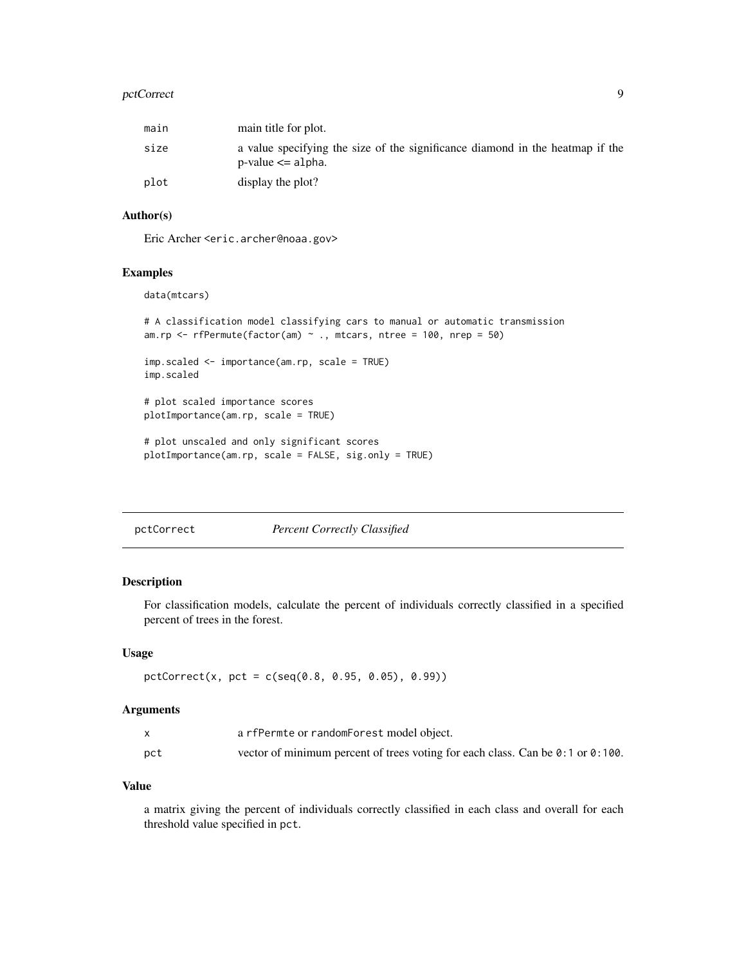#### <span id="page-8-0"></span>pctCorrect 99

| main | main title for plot.                                                                                      |
|------|-----------------------------------------------------------------------------------------------------------|
| size | a value specifying the size of the significance diamond in the heatmap if the<br>$p$ -value $\leq$ alpha. |
| plot | display the plot?                                                                                         |

#### Author(s)

Eric Archer <eric.archer@noaa.gov>

#### Examples

data(mtcars)

```
# A classification model classifying cars to manual or automatic transmission
am.rp \leq rfPermute(factor(am) \sim ., mtcars, ntree = 100, nrep = 50)
imp.scaled <- importance(am.rp, scale = TRUE)
imp.scaled
# plot scaled importance scores
plotImportance(am.rp, scale = TRUE)
# plot unscaled and only significant scores
plotImportance(am.rp, scale = FALSE, sig.only = TRUE)
```
pctCorrect *Percent Correctly Classified*

#### Description

For classification models, calculate the percent of individuals correctly classified in a specified percent of trees in the forest.

#### Usage

```
pctCorrect(x, pct = c(seq(0.8, 0.95, 0.05), 0.99))
```
#### Arguments

|     | a rfPermte or randomForest model object.                                                         |
|-----|--------------------------------------------------------------------------------------------------|
| pct | vector of minimum percent of trees voting for each class. Can be $\theta$ : 1 or $\theta$ : 100. |

#### Value

a matrix giving the percent of individuals correctly classified in each class and overall for each threshold value specified in pct.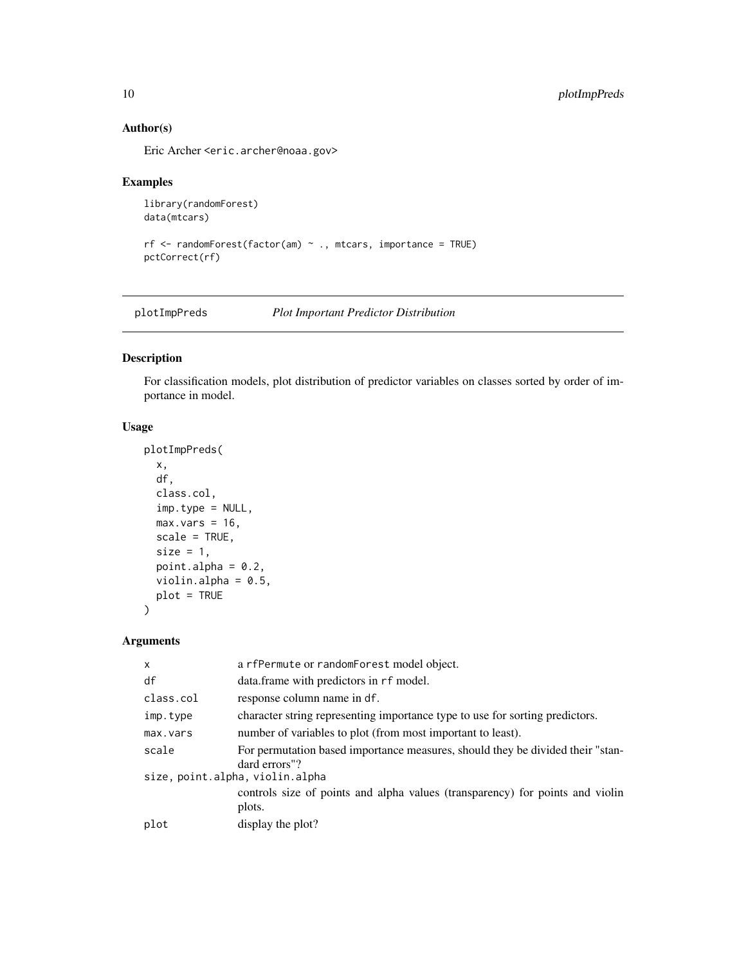#### Author(s)

Eric Archer <eric.archer@noaa.gov>

#### Examples

```
library(randomForest)
data(mtcars)
```

```
rf <- randomForest(factor(am) ~ ., mtcars, importance = TRUE)
pctCorrect(rf)
```
plotImpPreds *Plot Important Predictor Distribution*

#### Description

For classification models, plot distribution of predictor variables on classes sorted by order of importance in model.

#### Usage

```
plotImpPreds(
  x,
  df,
  class.col,
  imp.type = NULL,
  max.vars = 16,
  scale = TRUE,
  size = 1,
  point.alpha = 0.2,
  violin.alpha = 0.5,
  plot = TRUE
\overline{\phantom{0}}
```
#### Arguments

| $\boldsymbol{\mathsf{x}}$ | a rfPermute or randomForest model object.                                      |
|---------------------------|--------------------------------------------------------------------------------|
| df                        | data.frame with predictors in rf model.                                        |
| class.col                 | response column name in df.                                                    |
| imp.type                  | character string representing importance type to use for sorting predictors.   |
| max.vars                  | number of variables to plot (from most important to least).                    |
| scale                     | For permutation based importance measures, should they be divided their "stan- |
|                           | dard errors"?                                                                  |
|                           | size, point.alpha, violin.alpha                                                |
|                           | controls size of points and alpha values (transparency) for points and violin  |
|                           | plots.                                                                         |
| plot                      | display the plot?                                                              |
|                           |                                                                                |

<span id="page-9-0"></span>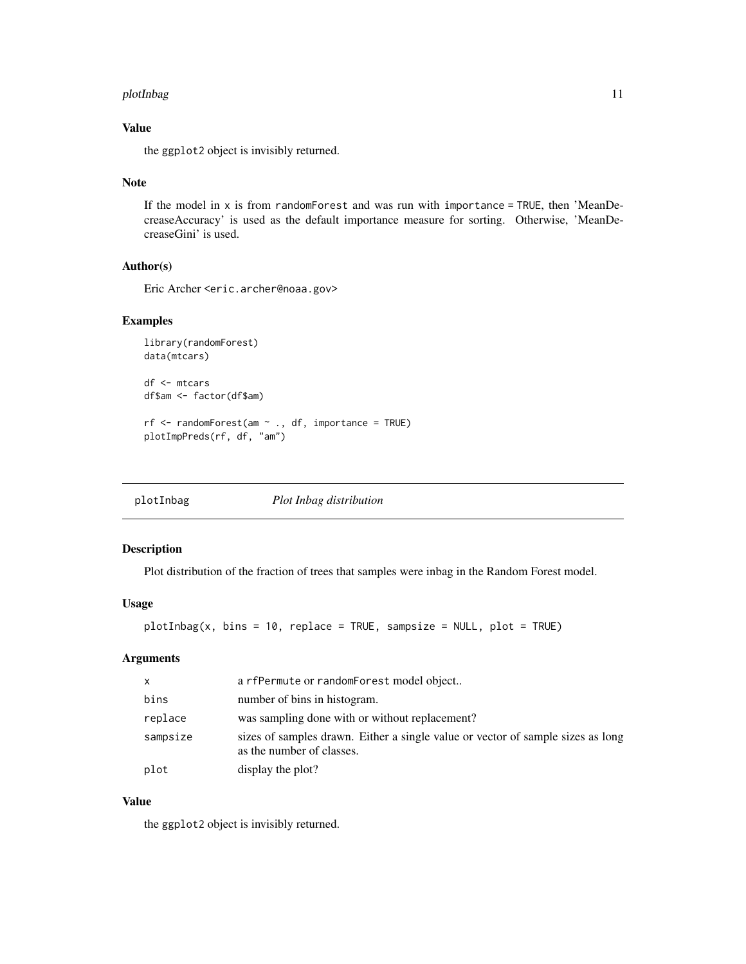#### <span id="page-10-0"></span>plotInbag and the set of the set of the set of the set of the set of the set of the set of the set of the set o

### Value

the ggplot2 object is invisibly returned.

#### Note

If the model in  $x$  is from randomForest and was run with importance = TRUE, then 'MeanDecreaseAccuracy' is used as the default importance measure for sorting. Otherwise, 'MeanDecreaseGini' is used.

#### Author(s)

Eric Archer <eric.archer@noaa.gov>

#### Examples

```
library(randomForest)
data(mtcars)
df <- mtcars
df$am <- factor(df$am)
rf \leftarrow \text{randomForest}(\text{am} \sim ., \text{df}, \text{importance = TRUE})plotImpPreds(rf, df, "am")
```
<span id="page-10-1"></span>

plotInbag *Plot Inbag distribution*

#### Description

Plot distribution of the fraction of trees that samples were inbag in the Random Forest model.

#### Usage

 $plotInbag(x, bins = 10, replace = TRUE, samplesize = NULL, plot = TRUE)$ 

#### Arguments

| $\mathsf{x}$ | a rfPermute or randomForest model object                                                                     |
|--------------|--------------------------------------------------------------------------------------------------------------|
| bins         | number of bins in histogram.                                                                                 |
| replace      | was sampling done with or without replacement?                                                               |
| sampsize     | sizes of samples drawn. Either a single value or vector of sample sizes as long<br>as the number of classes. |
| plot         | display the plot?                                                                                            |

#### Value

the ggplot2 object is invisibly returned.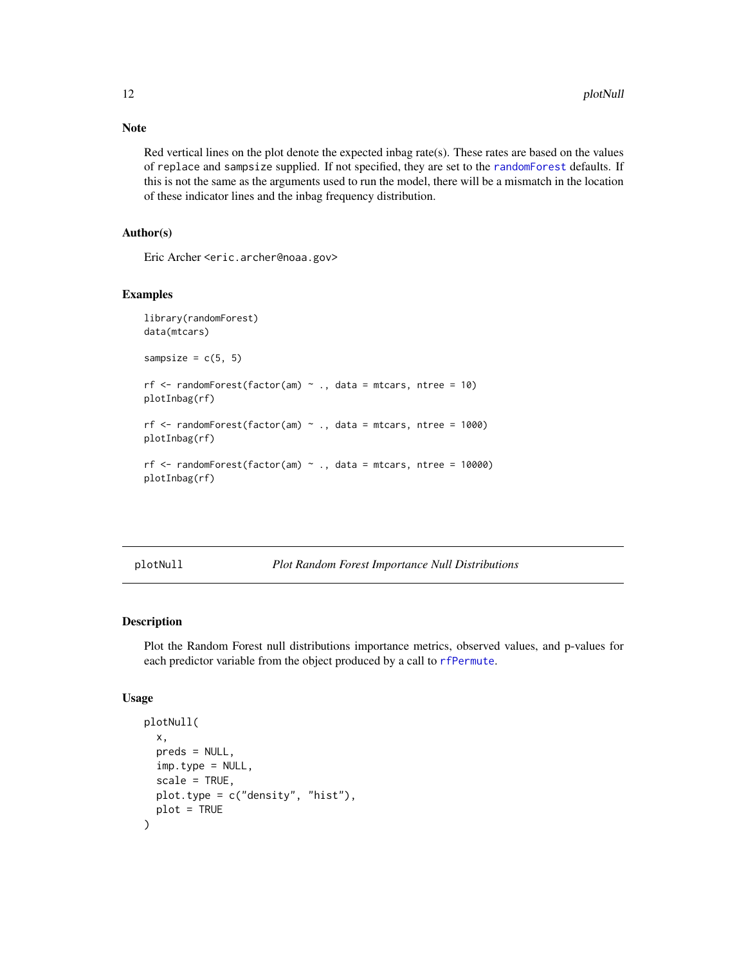Note

Red vertical lines on the plot denote the expected inbag rate(s). These rates are based on the values of replace and sampsize supplied. If not specified, they are set to the [randomForest](#page-0-0) defaults. If this is not the same as the arguments used to run the model, there will be a mismatch in the location of these indicator lines and the inbag frequency distribution.

#### Author(s)

Eric Archer <eric.archer@noaa.gov>

#### Examples

```
library(randomForest)
data(mtcars)
sampsize = c(5, 5)rf \le randomForest(factor(am) \sim ., data = mtcars, ntree = 10)
plotInbag(rf)
rf \le randomForest(factor(am) \sim ., data = mtcars, ntree = 1000)
plotInbag(rf)
rf \le- randomForest(factor(am) \sim ., data = mtcars, ntree = 10000)
plotInbag(rf)
```
plotNull *Plot Random Forest Importance Null Distributions*

#### Description

Plot the Random Forest null distributions importance metrics, observed values, and p-values for each predictor variable from the object produced by a call to [rfPermute](#page-17-1).

```
plotNull(
  x,
 preds = NULL,
  imp.type = NULL,
  scale = TRUE,plot.type = c("density", "hist"),
 plot = TRUE
)
```
<span id="page-11-0"></span>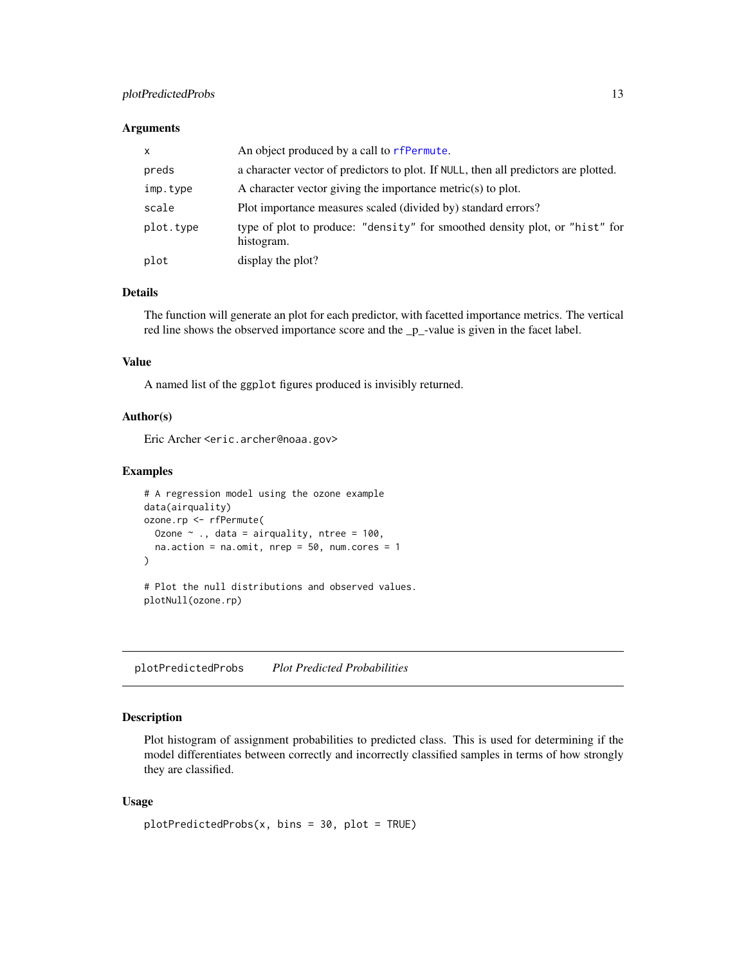#### <span id="page-12-0"></span>plotPredictedProbs 13

#### **Arguments**

| $\mathsf{x}$ | An object produced by a call to rfPermute.                                                |
|--------------|-------------------------------------------------------------------------------------------|
| preds        | a character vector of predictors to plot. If NULL, then all predictors are plotted.       |
| imp.type     | A character vector giving the importance metric $(s)$ to plot.                            |
| scale        | Plot importance measures scaled (divided by) standard errors?                             |
| plot.type    | type of plot to produce: "density" for smoothed density plot, or "hist" for<br>histogram. |
| plot         | display the plot?                                                                         |

#### Details

The function will generate an plot for each predictor, with facetted importance metrics. The vertical red line shows the observed importance score and the \_p\_-value is given in the facet label.

#### Value

A named list of the ggplot figures produced is invisibly returned.

#### Author(s)

Eric Archer <eric.archer@noaa.gov>

#### Examples

```
# A regression model using the ozone example
data(airquality)
ozone.rp <- rfPermute(
 Ozone \sim ., data = airquality, ntree = 100,
 na. action = na. omit, nrep = 50, num. cores = 1)
# Plot the null distributions and observed values.
```
plotNull(ozone.rp)

plotPredictedProbs *Plot Predicted Probabilities*

#### Description

Plot histogram of assignment probabilities to predicted class. This is used for determining if the model differentiates between correctly and incorrectly classified samples in terms of how strongly they are classified.

```
plotPredictedProbs(x, bins = 30, plot = TRUE)
```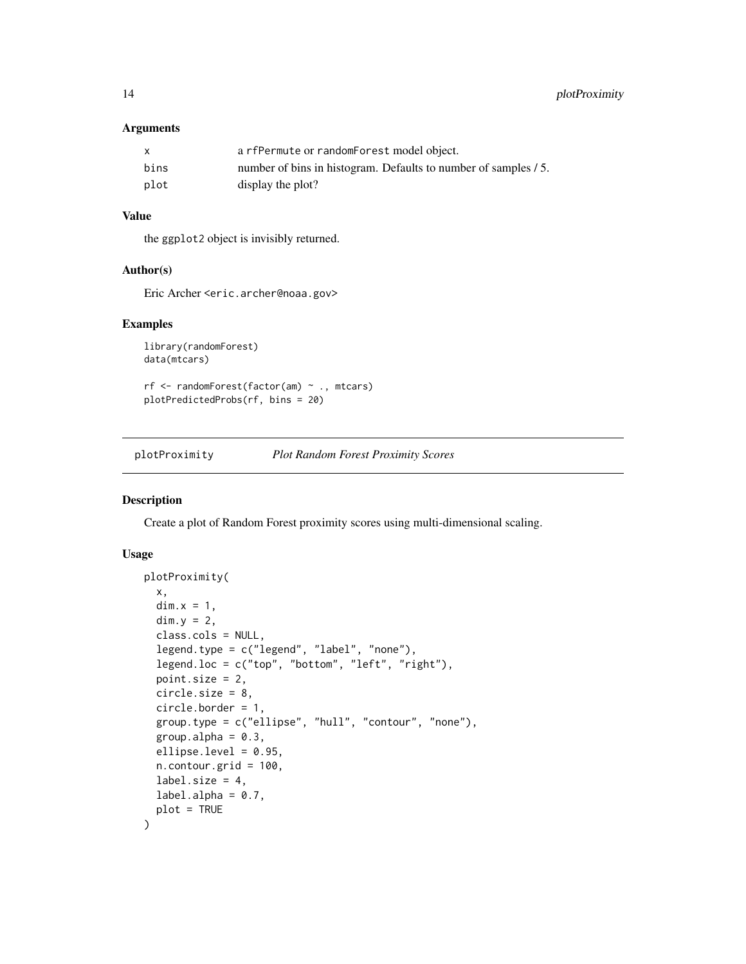#### <span id="page-13-0"></span>Arguments

| X    | a rfPermute or randomForest model object.                       |
|------|-----------------------------------------------------------------|
| bins | number of bins in histogram. Defaults to number of samples / 5. |
| plot | display the plot?                                               |

#### Value

the ggplot2 object is invisibly returned.

#### Author(s)

Eric Archer <eric.archer@noaa.gov>

#### Examples

```
library(randomForest)
data(mtcars)
```
rf <- randomForest(factor(am) ~ ., mtcars) plotPredictedProbs(rf, bins = 20)

plotProximity *Plot Random Forest Proximity Scores*

#### Description

Create a plot of Random Forest proximity scores using multi-dimensional scaling.

```
plotProximity(
  x,
  dim.x = 1,
  dim.y = 2,
  class.cols = NULL,
  legend.type = c("legend", "label", "none"),
  legend.loc = c("top", "bottom", "left", "right"),
 point.size = 2,
  circle.size = 8,
  circle.border = 1,
  group.type = c("ellipse", "hull", "contour", "none"),
  group.alpha = 0.3,
  ellipse.level = 0.95,
  n.contour.grid = 100,
  label.size = 4,
  label.a1pha = 0.7,
  plot = TRUE
)
```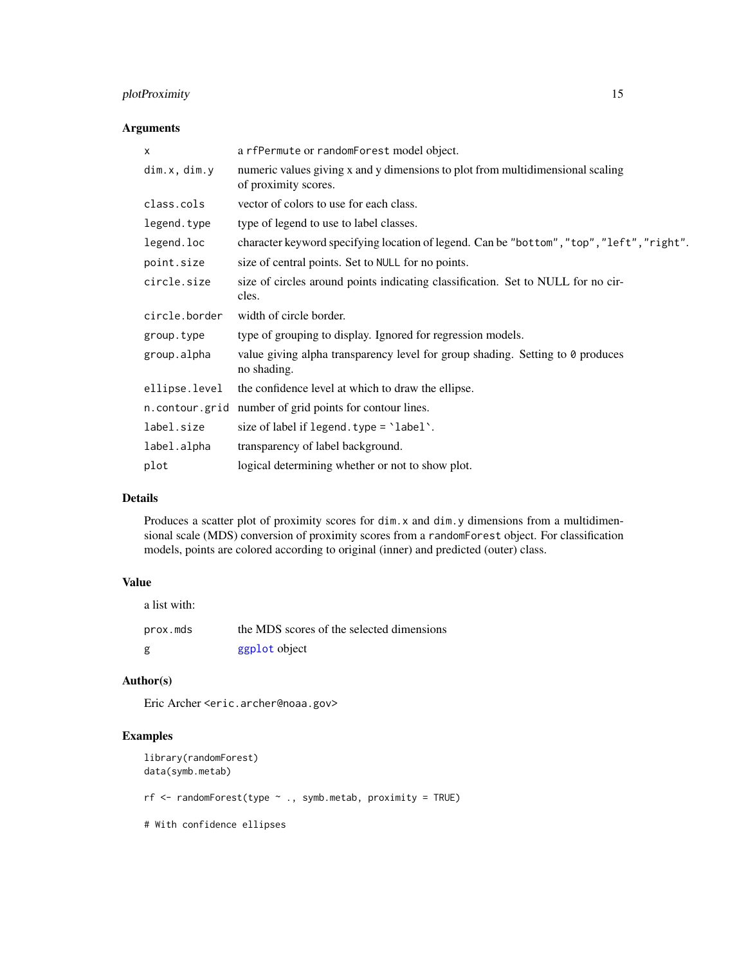#### <span id="page-14-0"></span>plotProximity 15

#### Arguments

| X             | a rfPermute or randomForest model object.                                                              |
|---------------|--------------------------------------------------------------------------------------------------------|
| dim.x, dim.y  | numeric values giving x and y dimensions to plot from multidimensional scaling<br>of proximity scores. |
| class.cols    | vector of colors to use for each class.                                                                |
| legend.type   | type of legend to use to label classes.                                                                |
| legend.loc    | character keyword specifying location of legend. Can be "bottom", "top", "left", "right".              |
| point.size    | size of central points. Set to NULL for no points.                                                     |
| circle.size   | size of circles around points indicating classification. Set to NULL for no cir-<br>cles.              |
| circle.border | width of circle border.                                                                                |
| group.type    | type of grouping to display. Ignored for regression models.                                            |
| group.alpha   | value giving alpha transparency level for group shading. Setting to 0 produces<br>no shading.          |
| ellipse.level | the confidence level at which to draw the ellipse.                                                     |
|               | n. contour.grid number of grid points for contour lines.                                               |
| label.size    | size of label if $legend. type = 'label'.$                                                             |
| label.alpha   | transparency of label background.                                                                      |
| plot          | logical determining whether or not to show plot.                                                       |
|               |                                                                                                        |

#### Details

Produces a scatter plot of proximity scores for dim.x and dim.y dimensions from a multidimensional scale (MDS) conversion of proximity scores from a randomForest object. For classification models, points are colored according to original (inner) and predicted (outer) class.

#### Value

| a list with: |                                           |
|--------------|-------------------------------------------|
| prox.mds     | the MDS scores of the selected dimensions |
| g            | ggplot object                             |

#### Author(s)

Eric Archer <eric.archer@noaa.gov>

```
library(randomForest)
data(symb.metab)
rf <- randomForest(type ~ ., symb.metab, proximity = TRUE)
# With confidence ellipses
```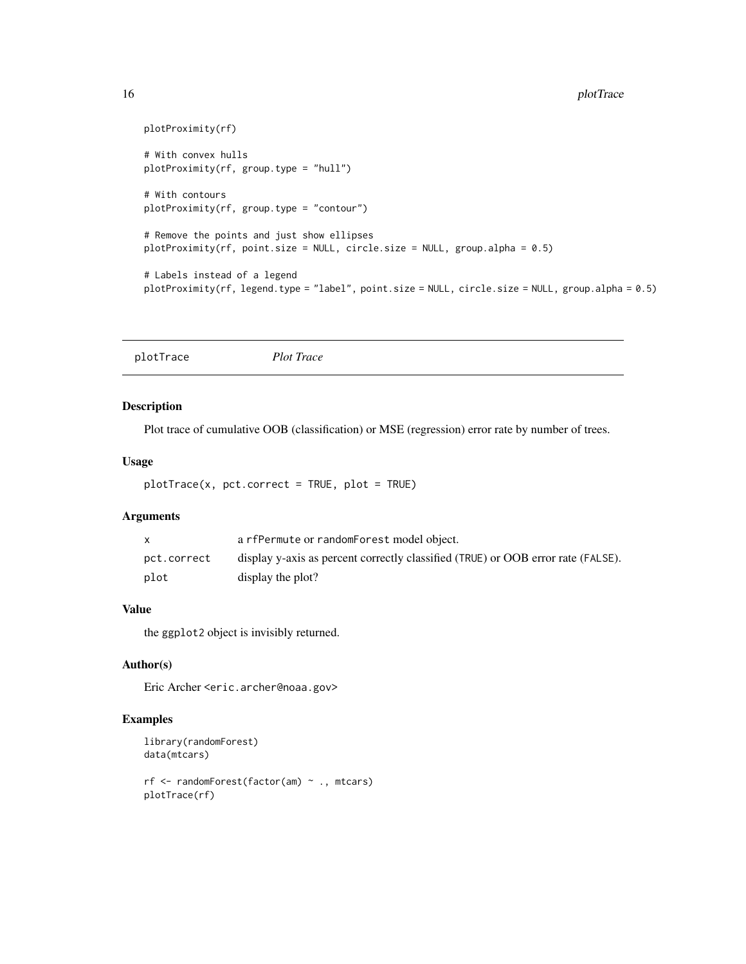```
plotProximity(rf)
# With convex hulls
plotProximity(rf, group.type = "hull")
# With contours
plotProximity(rf, group.type = "contour")
# Remove the points and just show ellipses
plotProximity(rf, point.size = NULL, circle.size = NULL, group.alpha = 0.5)
# Labels instead of a legend
plotProximity(rf, legend.type = "label", point.size = NULL, circle.size = NULL, group.alpha = 0.5)
```
<span id="page-15-1"></span>plotTrace *Plot Trace*

#### Description

Plot trace of cumulative OOB (classification) or MSE (regression) error rate by number of trees.

#### Usage

```
plotTrace(x, pct.correct = TRUE, plot = TRUE)
```
#### Arguments

|             | a rfPermute or randomForest model object.                                        |
|-------------|----------------------------------------------------------------------------------|
| pct.correct | display y-axis as percent correctly classified (TRUE) or OOB error rate (FALSE). |
| plot        | display the plot?                                                                |

#### Value

the ggplot2 object is invisibly returned.

#### Author(s)

Eric Archer <eric.archer@noaa.gov>

```
library(randomForest)
data(mtcars)
rf <- randomForest(factor(am) ~ ., mtcars)
plotTrace(rf)
```
<span id="page-15-0"></span>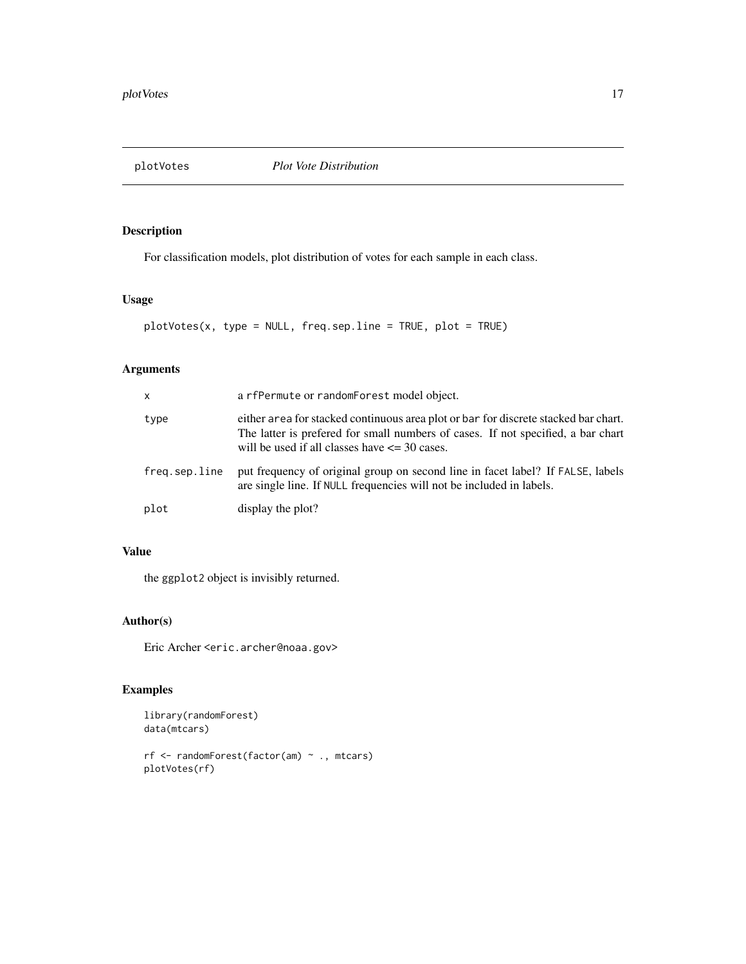<span id="page-16-0"></span>plotVotes *Plot Vote Distribution*

#### Description

For classification models, plot distribution of votes for each sample in each class.

#### Usage

```
plotVotes(x, type = NULL, freq.sep.line = TRUE, plot = TRUE)
```
#### Arguments

| X             | a rfPermute or randomForest model object.                                                                                                                                                                                    |
|---------------|------------------------------------------------------------------------------------------------------------------------------------------------------------------------------------------------------------------------------|
| type          | either area for stacked continuous area plot or bar for discrete stacked bar chart.<br>The latter is prefered for small numbers of cases. If not specified, a bar chart<br>will be used if all classes have $\leq$ 30 cases. |
| freg.sep.line | put frequency of original group on second line in facet label? If FALSE, labels<br>are single line. If NULL frequencies will not be included in labels.                                                                      |
| plot          | display the plot?                                                                                                                                                                                                            |

### Value

the ggplot2 object is invisibly returned.

#### Author(s)

Eric Archer <eric.archer@noaa.gov>

```
library(randomForest)
data(mtcars)
rf <- randomForest(factor(am) ~ ., mtcars)
plotVotes(rf)
```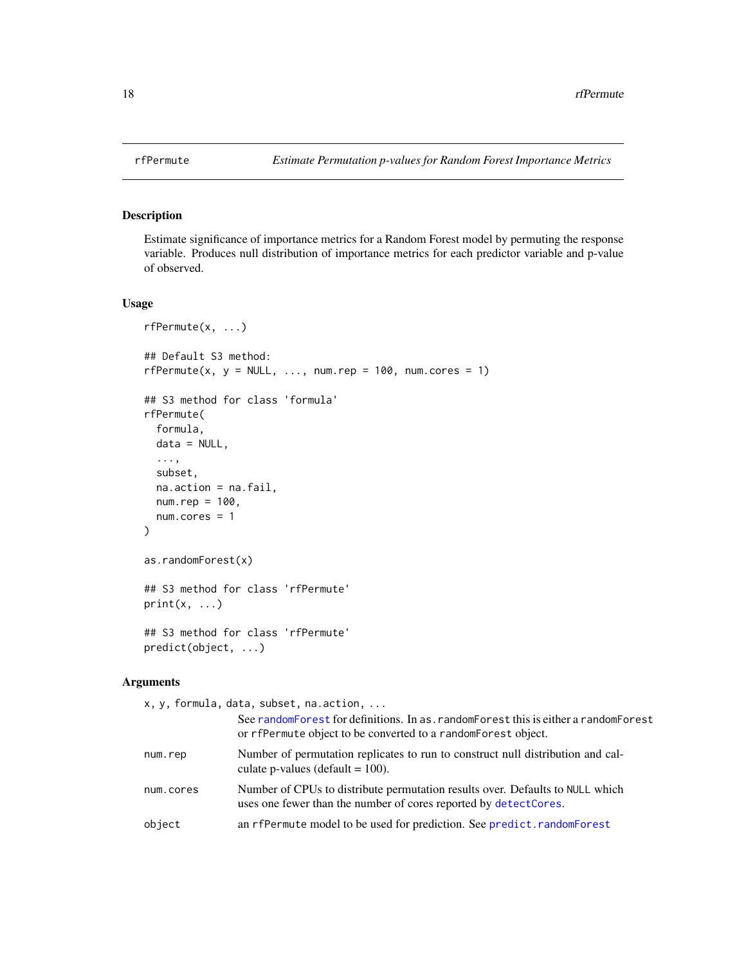<span id="page-17-1"></span><span id="page-17-0"></span>

#### Description

Estimate significance of importance metrics for a Random Forest model by permuting the response variable. Produces null distribution of importance metrics for each predictor variable and p-value of observed.

#### Usage

```
rfPermute(x, ...)
## Default S3 method:
rfPermute(x, y = NULL, ..., num.rep = 100, num.cores = 1)
## S3 method for class 'formula'
rfPermute(
  formula,
  data = NULL,
  ...,
  subset,
 na.action = na.fail,
 num.rep = 100,
 num.cores = 1
)
as.randomForest(x)
## S3 method for class 'rfPermute'
print(x, \ldots)## S3 method for class 'rfPermute'
predict(object, ...)
```
#### Arguments

x, y, formula, data, [subset, na.ac](#page-0-0)tion, ...

|           | See randomForest for definitions. In as . randomForest this is either a randomForest<br>or rfPermute object to be converted to a random Forest object. |
|-----------|--------------------------------------------------------------------------------------------------------------------------------------------------------|
| num.rep   | Number of permutation replicates to run to construct null distribution and cal-<br>culate p-values (default $= 100$ ).                                 |
| num.cores | Number of CPUs to distribute permutation results over. Defaults to NULL which<br>uses one fewer than the number of cores reported by detectCores.      |
| object    | an rfPermute model to be used for prediction. See predict. randomForest                                                                                |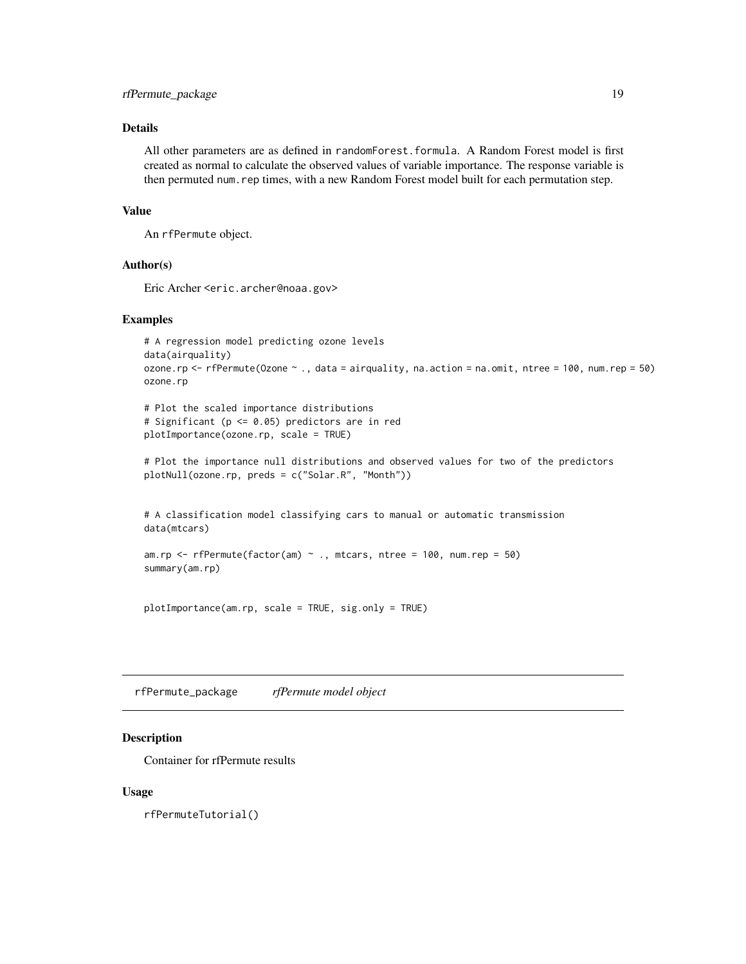#### <span id="page-18-0"></span>rfPermute\_package 19

#### Details

All other parameters are as defined in randomForest.formula. A Random Forest model is first created as normal to calculate the observed values of variable importance. The response variable is then permuted num.rep times, with a new Random Forest model built for each permutation step.

#### Value

An rfPermute object.

#### Author(s)

Eric Archer <eric.archer@noaa.gov>

#### Examples

```
# A regression model predicting ozone levels
data(airquality)
ozone.rp <- rfPermute(Ozone ~ ., data = airquality, na.action = na.omit, ntree = 100, num.rep = 50)
ozone.rp
```
# Plot the scaled importance distributions # Significant (p <= 0.05) predictors are in red plotImportance(ozone.rp, scale = TRUE)

```
# Plot the importance null distributions and observed values for two of the predictors
plotNull(ozone.rp, preds = c("Solar.R", "Month"))
```
# A classification model classifying cars to manual or automatic transmission data(mtcars)

```
am.rp \leq rfPermute(factor(am) \sim ., mtcars, ntree = 100, num.rep = 50)
summary(am.rp)
```
plotImportance(am.rp, scale = TRUE, sig.only = TRUE)

rfPermute\_package *rfPermute model object*

#### Description

Container for rfPermute results

#### Usage

rfPermuteTutorial()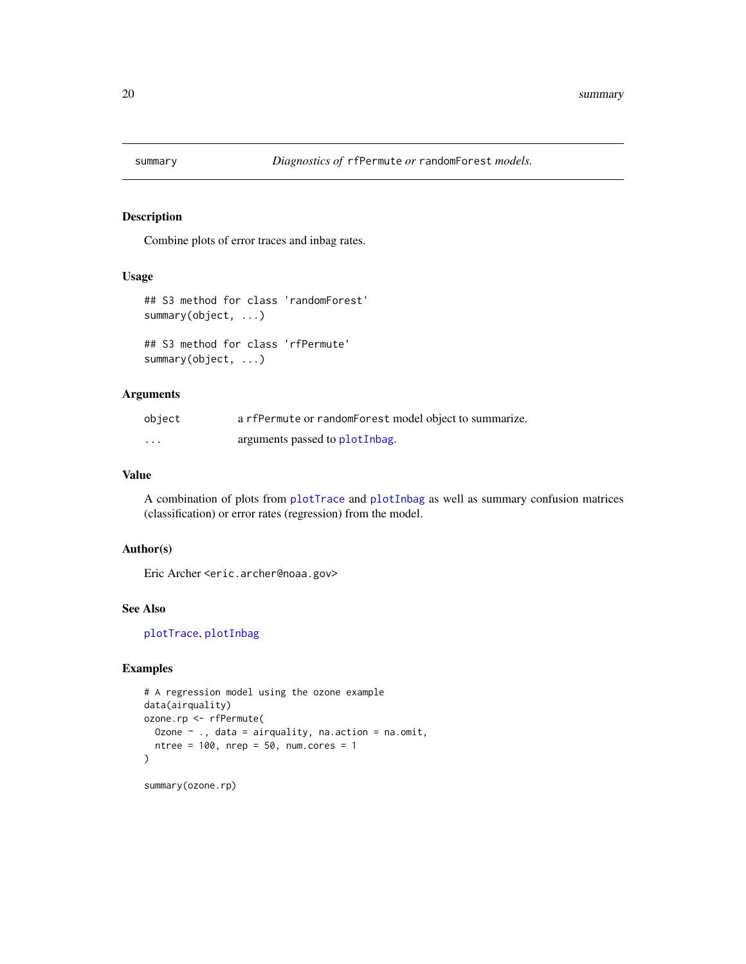<span id="page-19-0"></span>

#### Description

Combine plots of error traces and inbag rates.

#### Usage

```
## S3 method for class 'randomForest'
summary(object, ...)
```
## S3 method for class 'rfPermute' summary(object, ...)

#### Arguments

| object   | a rfPermute or randomForest model object to summarize. |
|----------|--------------------------------------------------------|
| $\cdots$ | arguments passed to plotInbag.                         |

#### Value

A combination of plots from [plotTrace](#page-15-1) and [plotInbag](#page-10-1) as well as summary confusion matrices (classification) or error rates (regression) from the model.

#### Author(s)

Eric Archer <eric.archer@noaa.gov>

#### See Also

[plotTrace](#page-15-1), [plotInbag](#page-10-1)

#### Examples

```
# A regression model using the ozone example
data(airquality)
ozone.rp <- rfPermute(
  Ozone \sim ., data = airquality, na.action = na.omit,
  ntree = 100, nrep = 50, num.cores = 1)
```
summary(ozone.rp)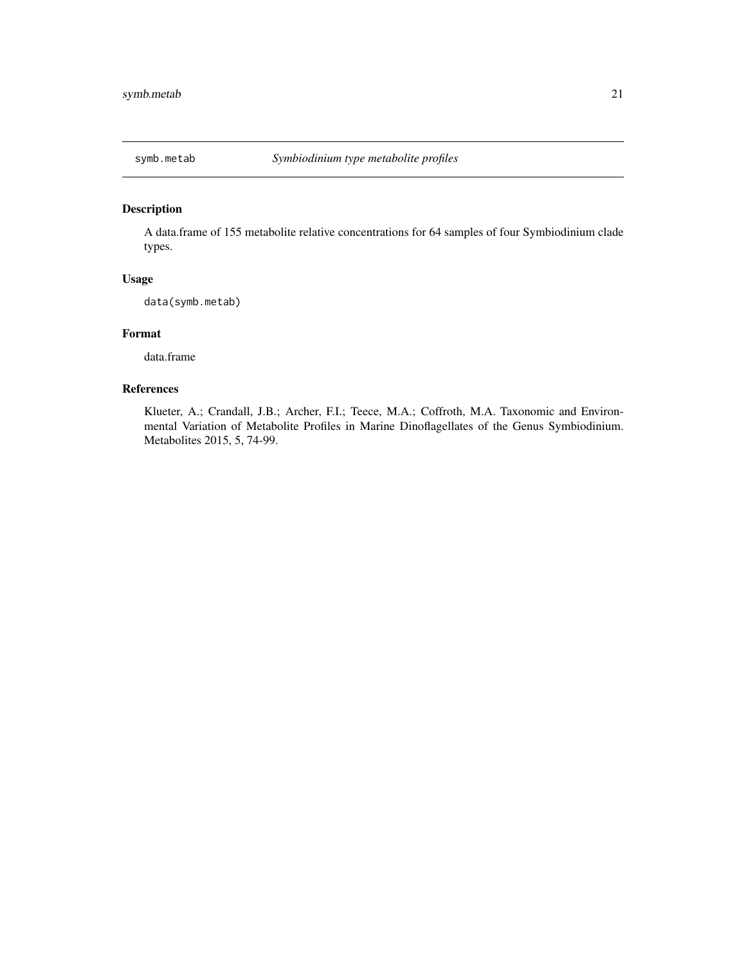<span id="page-20-0"></span>

#### Description

A data.frame of 155 metabolite relative concentrations for 64 samples of four Symbiodinium clade types.

#### Usage

data(symb.metab)

#### Format

data.frame

#### References

Klueter, A.; Crandall, J.B.; Archer, F.I.; Teece, M.A.; Coffroth, M.A. Taxonomic and Environmental Variation of Metabolite Profiles in Marine Dinoflagellates of the Genus Symbiodinium. Metabolites 2015, 5, 74-99.